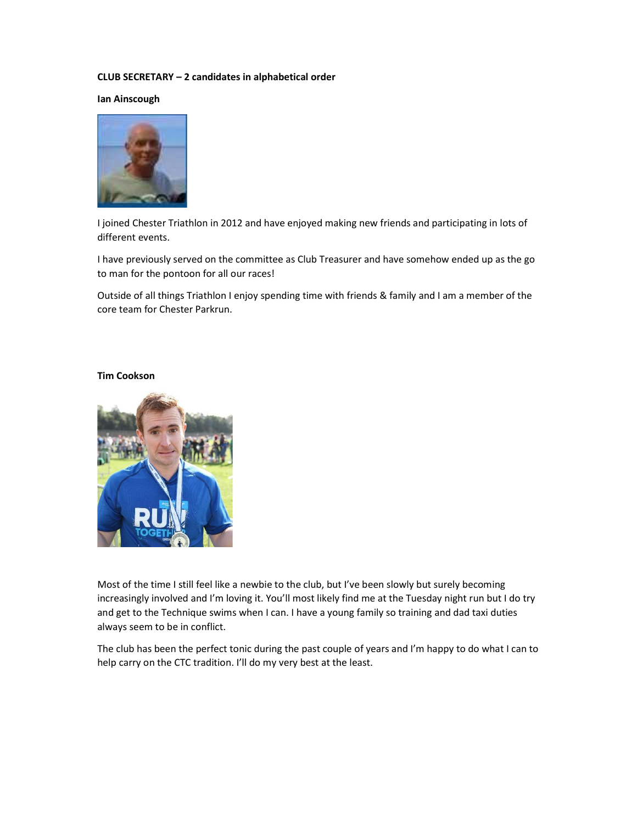## CLUB SECRETARY – 2 candidates in alphabetical order

Ian Ainscough



I joined Chester Triathlon in 2012 and have enjoyed making new friends and participating in lots of different events.

I have previously served on the committee as Club Treasurer and have somehow ended up as the go to man for the pontoon for all our races!

Outside of all things Triathlon I enjoy spending time with friends & family and I am a member of the core team for Chester Parkrun.

#### Tim Cookson



Most of the time I still feel like a newbie to the club, but I've been slowly but surely becoming increasingly involved and I'm loving it. You'll most likely find me at the Tuesday night run but I do try and get to the Technique swims when I can. I have a young family so training and dad taxi duties always seem to be in conflict.

The club has been the perfect tonic during the past couple of years and I'm happy to do what I can to help carry on the CTC tradition. I'll do my very best at the least.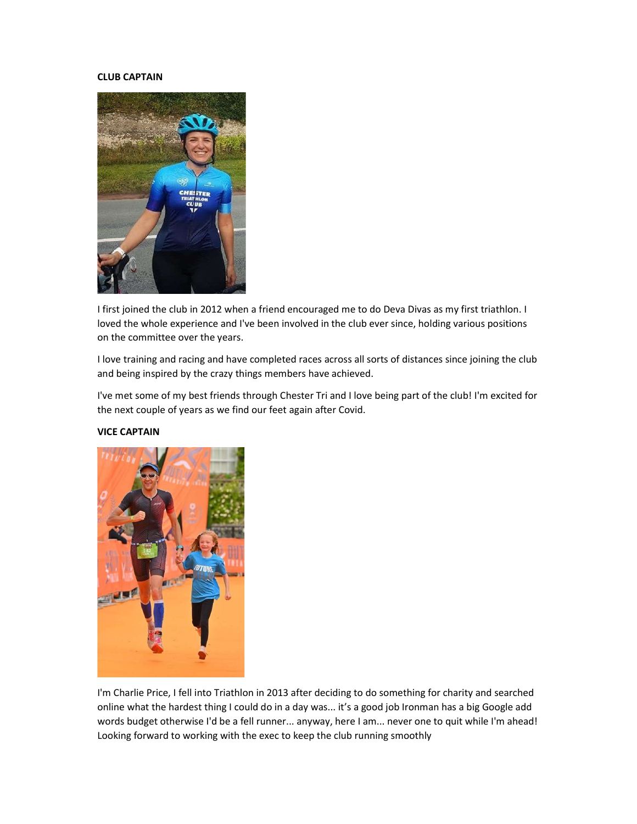## CLUB CAPTAIN



I first joined the club in 2012 when a friend encouraged me to do Deva Divas as my first triathlon. I loved the whole experience and I've been involved in the club ever since, holding various positions on the committee over the years.

I love training and racing and have completed races across all sorts of distances since joining the club and being inspired by the crazy things members have achieved.

I've met some of my best friends through Chester Tri and I love being part of the club! I'm excited for the next couple of years as we find our feet again after Covid.

## VICE CAPTAIN



I'm Charlie Price, I fell into Triathlon in 2013 after deciding to do something for charity and searched online what the hardest thing I could do in a day was... it's a good job Ironman has a big Google add words budget otherwise I'd be a fell runner... anyway, here I am... never one to quit while I'm ahead! Looking forward to working with the exec to keep the club running smoothly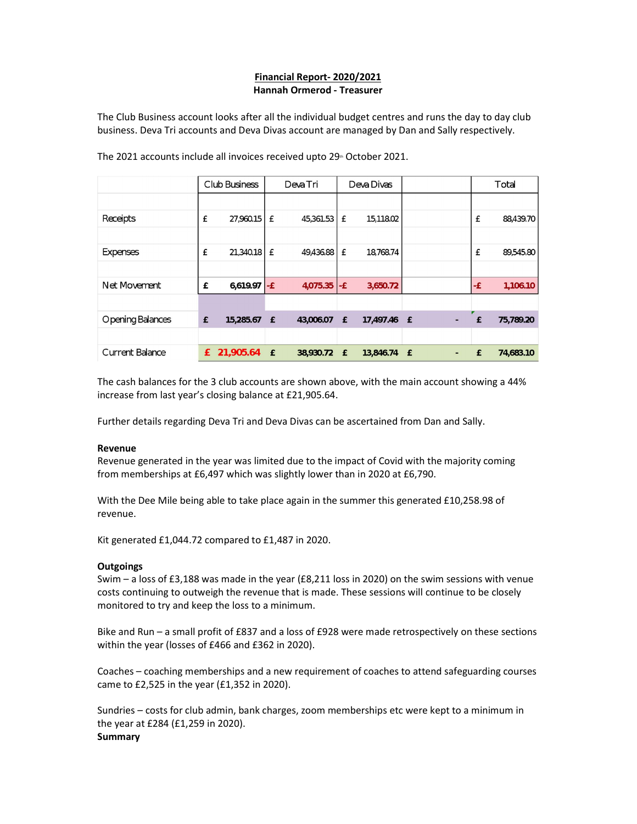# Financial Report- 2020/2021 Hannah Ormerod - Treasurer

The Club Business account looks after all the individual budget centres and runs the day to day club business. Deva Tri accounts and Deva Divas account are managed by Dan and Sally respectively.

|                   | Club Business |           | <b>DevaTri</b> |               | Deva Divas   |             |              |   | Total |           |
|-------------------|---------------|-----------|----------------|---------------|--------------|-------------|--------------|---|-------|-----------|
|                   |               |           |                |               |              |             |              |   |       |           |
| Receipts          | £             | 27,960.15 | £              | 45,361.53     | £            | 15,118.02   |              |   | £     | 88,439.70 |
|                   |               |           |                |               |              |             |              |   |       |           |
| <b>Expenses</b>   | £             | 21,340.18 | £              | 49,436.88     | £            | 18,768.74   |              |   | £     | 89,545.80 |
|                   |               |           |                |               |              |             |              |   |       |           |
| Net Movement      | £             | 6,619.97  | l-£            | $4,075.35$ -£ |              | 3,650.72    |              |   | -£    | 1,106.10  |
|                   |               |           |                |               |              |             |              |   |       |           |
| O pening Balances | £             | 15,285.67 | £              | 43,006.07     | £            | 17,497.46 £ |              |   | £     | 75,789.20 |
|                   |               |           |                |               |              |             |              |   |       |           |
| Current Balance   | £             | 21,905.64 | $\mathbf{f}$   | 38,930.72     | $\mathbf{f}$ | 13,846.74   | $\mathbf{f}$ | ٠ | £     | 74,683.10 |

The 2021 accounts include all invoices received upto  $29<sup>th</sup>$  October 2021.

The cash balances for the 3 club accounts are shown above, with the main account showing a 44% increase from last year's closing balance at £21,905.64.

Further details regarding Deva Tri and Deva Divas can be ascertained from Dan and Sally.

#### Revenue

Revenue generated in the year was limited due to the impact of Covid with the majority coming from memberships at £6,497 which was slightly lower than in 2020 at £6,790.

With the Dee Mile being able to take place again in the summer this generated £10,258.98 of revenue.

Kit generated £1,044.72 compared to £1,487 in 2020.

## **Outgoings**

Swim – a loss of £3,188 was made in the year (£8,211 loss in 2020) on the swim sessions with venue costs continuing to outweigh the revenue that is made. These sessions will continue to be closely monitored to try and keep the loss to a minimum.

Bike and Run – a small profit of £837 and a loss of £928 were made retrospectively on these sections within the year (losses of £466 and £362 in 2020).

Coaches – coaching memberships and a new requirement of coaches to attend safeguarding courses came to £2,525 in the year (£1,352 in 2020).

Sundries – costs for club admin, bank charges, zoom memberships etc were kept to a minimum in the year at £284 (£1,259 in 2020). **Summary**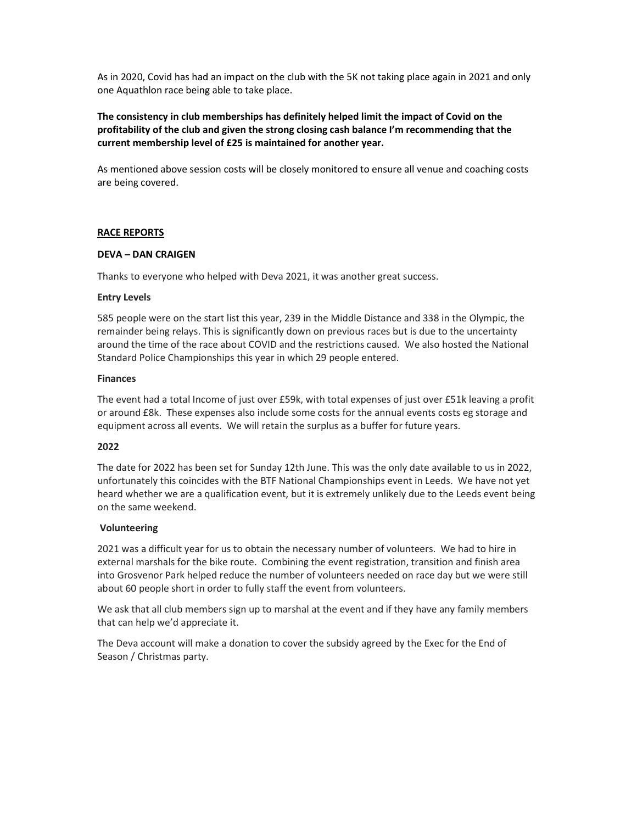As in 2020, Covid has had an impact on the club with the 5K not taking place again in 2021 and only one Aquathlon race being able to take place.

# The consistency in club memberships has definitely helped limit the impact of Covid on the profitability of the club and given the strong closing cash balance I'm recommending that the current membership level of £25 is maintained for another year.

As mentioned above session costs will be closely monitored to ensure all venue and coaching costs are being covered.

## RACE REPORTS

#### DEVA – DAN CRAIGEN

Thanks to everyone who helped with Deva 2021, it was another great success.

## Entry Levels

585 people were on the start list this year, 239 in the Middle Distance and 338 in the Olympic, the remainder being relays. This is significantly down on previous races but is due to the uncertainty around the time of the race about COVID and the restrictions caused. We also hosted the National Standard Police Championships this year in which 29 people entered.

## Finances

The event had a total Income of just over £59k, with total expenses of just over £51k leaving a profit or around £8k. These expenses also include some costs for the annual events costs eg storage and equipment across all events. We will retain the surplus as a buffer for future years.

# 2022

The date for 2022 has been set for Sunday 12th June. This was the only date available to us in 2022, unfortunately this coincides with the BTF National Championships event in Leeds. We have not yet heard whether we are a qualification event, but it is extremely unlikely due to the Leeds event being on the same weekend.

#### Volunteering

2021 was a difficult year for us to obtain the necessary number of volunteers. We had to hire in external marshals for the bike route. Combining the event registration, transition and finish area into Grosvenor Park helped reduce the number of volunteers needed on race day but we were still about 60 people short in order to fully staff the event from volunteers.

We ask that all club members sign up to marshal at the event and if they have any family members that can help we'd appreciate it.

The Deva account will make a donation to cover the subsidy agreed by the Exec for the End of Season / Christmas party.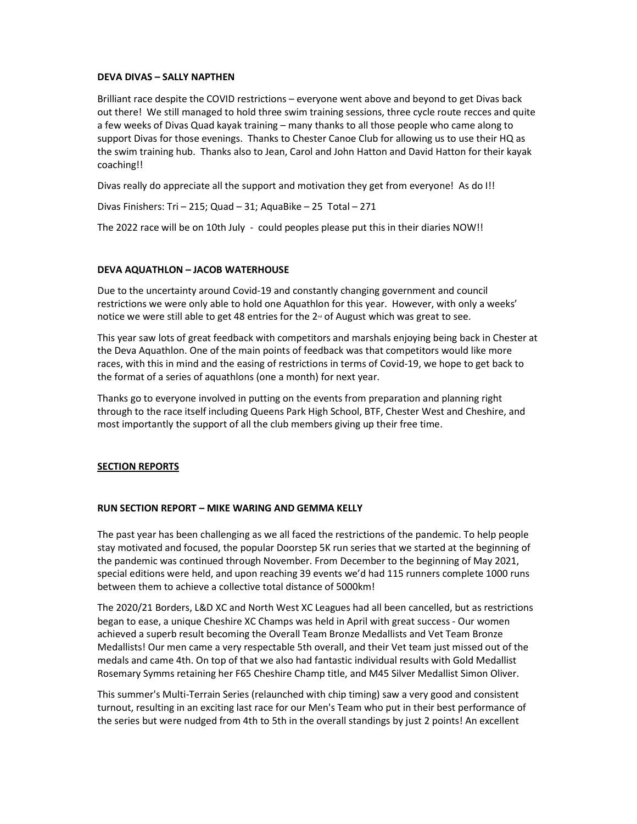## DEVA DIVAS – SALLY NAPTHEN

Brilliant race despite the COVID restrictions – everyone went above and beyond to get Divas back out there! We still managed to hold three swim training sessions, three cycle route recces and quite a few weeks of Divas Quad kayak training – many thanks to all those people who came along to support Divas for those evenings. Thanks to Chester Canoe Club for allowing us to use their HQ as the swim training hub. Thanks also to Jean, Carol and John Hatton and David Hatton for their kayak coaching!!

Divas really do appreciate all the support and motivation they get from everyone! As do I!!

Divas Finishers: Tri – 215; Quad – 31; AquaBike – 25 Total – 271

The 2022 race will be on 10th July - could peoples please put this in their diaries NOW!!

## DEVA AQUATHLON – JACOB WATERHOUSE

Due to the uncertainty around Covid-19 and constantly changing government and council restrictions we were only able to hold one Aquathlon for this year. However, with only a weeks' notice we were still able to get 48 entries for the  $2<sup>{nd}</sup>$  of August which was great to see.

This year saw lots of great feedback with competitors and marshals enjoying being back in Chester at the Deva Aquathlon. One of the main points of feedback was that competitors would like more races, with this in mind and the easing of restrictions in terms of Covid-19, we hope to get back to the format of a series of aquathlons (one a month) for next year.

Thanks go to everyone involved in putting on the events from preparation and planning right through to the race itself including Queens Park High School, BTF, Chester West and Cheshire, and most importantly the support of all the club members giving up their free time.

## SECTION REPORTS

#### RUN SECTION REPORT – MIKE WARING AND GEMMA KELLY

The past year has been challenging as we all faced the restrictions of the pandemic. To help people stay motivated and focused, the popular Doorstep 5K run series that we started at the beginning of the pandemic was continued through November. From December to the beginning of May 2021, special editions were held, and upon reaching 39 events we'd had 115 runners complete 1000 runs between them to achieve a collective total distance of 5000km!

The 2020/21 Borders, L&D XC and North West XC Leagues had all been cancelled, but as restrictions began to ease, a unique Cheshire XC Champs was held in April with great success - Our women achieved a superb result becoming the Overall Team Bronze Medallists and Vet Team Bronze Medallists! Our men came a very respectable 5th overall, and their Vet team just missed out of the medals and came 4th. On top of that we also had fantastic individual results with Gold Medallist Rosemary Symms retaining her F65 Cheshire Champ title, and M45 Silver Medallist Simon Oliver.

This summer's Multi-Terrain Series (relaunched with chip timing) saw a very good and consistent turnout, resulting in an exciting last race for our Men's Team who put in their best performance of the series but were nudged from 4th to 5th in the overall standings by just 2 points! An excellent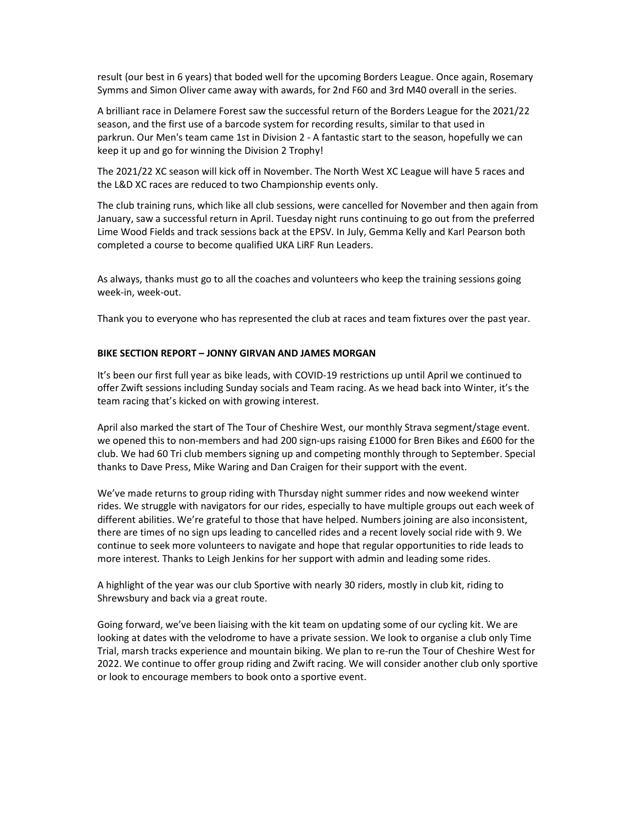result (our best in 6 years) that boded well for the upcoming Borders League. Once again, Rosemary Symms and Simon Oliver came away with awards, for 2nd F60 and 3rd M40 overall in the series.

A brilliant race in Delamere Forest saw the successful return of the Borders League for the 2021/22 season, and the first use of a barcode system for recording results, similar to that used in parkrun. Our Men's team came 1st in Division 2 - A fantastic start to the season, hopefully we can keep it up and go for winning the Division 2 Trophy!

The 2021/22 XC season will kick off in November. The North West XC League will have 5 races and the L&D XC races are reduced to two Championship events only.

The club training runs, which like all club sessions, were cancelled for November and then again from January, saw a successful return in April. Tuesday night runs continuing to go out from the preferred Lime Wood Fields and track sessions back at the EPSV. In July, Gemma Kelly and Karl Pearson both completed a course to become qualified UKA LiRF Run Leaders.

As always, thanks must go to all the coaches and volunteers who keep the training sessions going week-in, week-out.

Thank you to everyone who has represented the club at races and team fixtures over the past year.

#### BIKE SECTION REPORT – JONNY GIRVAN AND JAMES MORGAN

It's been our first full year as bike leads, with COVID-19 restrictions up until April we continued to offer Zwift sessions including Sunday socials and Team racing. As we head back into Winter, it's the team racing that's kicked on with growing interest.

April also marked the start of The Tour of Cheshire West, our monthly Strava segment/stage event. we opened this to non-members and had 200 sign-ups raising £1000 for Bren Bikes and £600 for the club. We had 60 Tri club members signing up and competing monthly through to September. Special thanks to Dave Press, Mike Waring and Dan Craigen for their support with the event.

We've made returns to group riding with Thursday night summer rides and now weekend winter rides. We struggle with navigators for our rides, especially to have multiple groups out each week of different abilities. We're grateful to those that have helped. Numbers joining are also inconsistent, there are times of no sign ups leading to cancelled rides and a recent lovely social ride with 9. We continue to seek more volunteers to navigate and hope that regular opportunities to ride leads to more interest. Thanks to Leigh Jenkins for her support with admin and leading some rides.

A highlight of the year was our club Sportive with nearly 30 riders, mostly in club kit, riding to Shrewsbury and back via a great route.

Going forward, we've been liaising with the kit team on updating some of our cycling kit. We are looking at dates with the velodrome to have a private session. We look to organise a club only Time Trial, marsh tracks experience and mountain biking. We plan to re-run the Tour of Cheshire West for 2022. We continue to offer group riding and Zwift racing. We will consider another club only sportive or look to encourage members to book onto a sportive event.